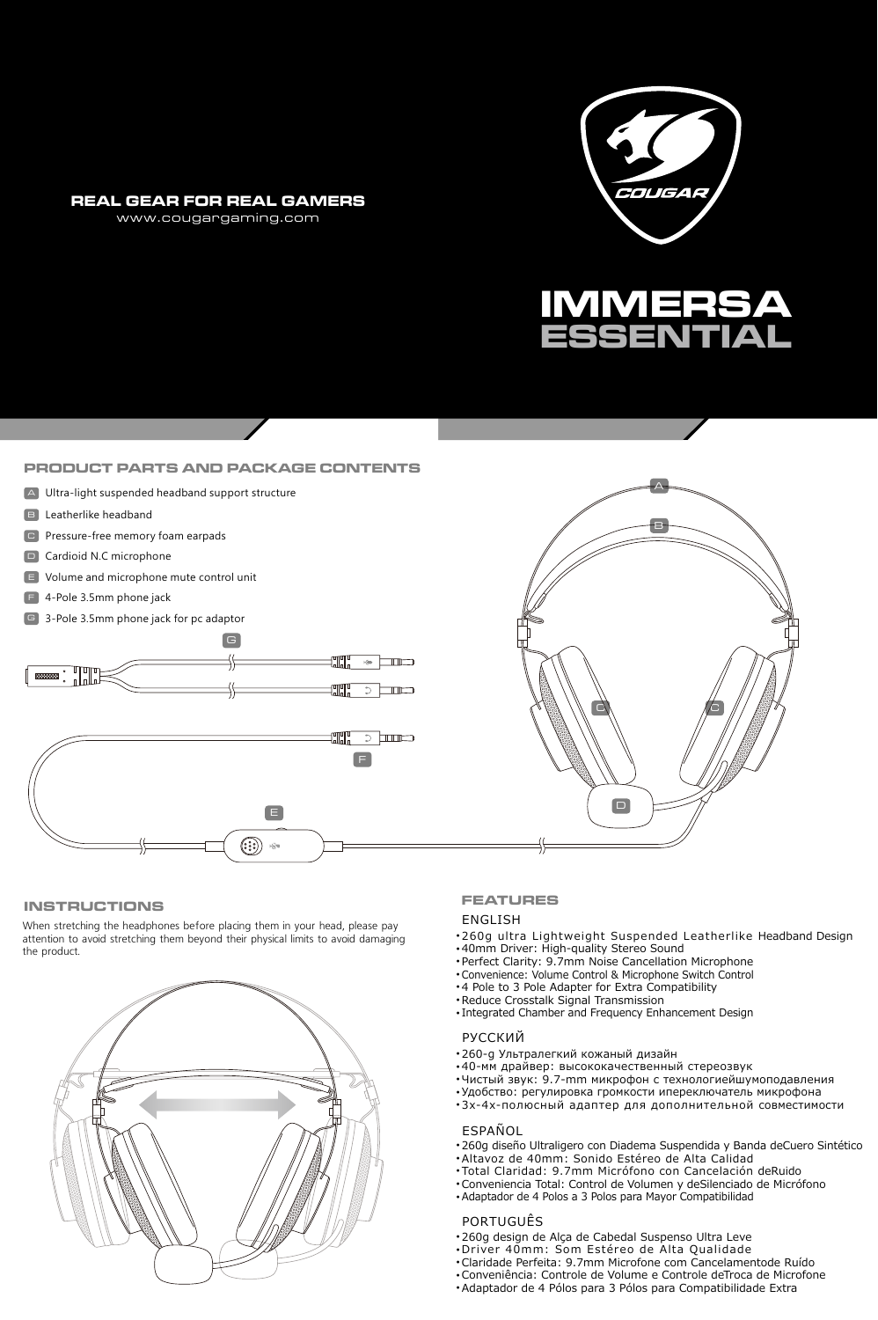#### **REAL GEAR FOR REAL GAMERS**

www.cougargaming.com





#### **PRODUCT PARTS AND PACKAGE CONTENTS**

- A Ultra-light suspended headband support structure
- **B** Leatherlike headband
- C Pressure-free memory foam earpads
- D Cardioid N.C microphone
- E Volume and microphone mute control unit
- F 4-Pole 3.5mm phone jack
- G 3-Pole 3.5mm phone jack for pc adaptor





#### **INSTRUCTIONS**

When stretching the headphones before placing them in your head, please pay attention to avoid stretching them beyond their physical limits to avoid damaging the product.



#### **FEATURES**

### ENGLISH

- 260g ultra Lightweight Suspended Leatherlike Headband Design
- •40mm Driver: High-quality Stereo Sound<br>•Perfect Clarity: 9.7mm Noise Cancellation Microphone
- 
- Convenience: Volume Control & Microphone Switch Control
- 4 Pole to 3 Pole Adapter for Extra Compatibility Reduce Crosstalk Signal Transmission
- Integrated Chamber and Frequency Enhancement Design

#### РУССКИЙ

- 260-д Ультралегкий кожаный дизайн
- 
- 40-мм драйвер: высококачественный стереозвук Чистый звук: 9.7-mm микрофон с технологиейшумоподавления
- Удобство: регулировка громкости ипереключатель микрофона
- 3х-4х-полюсный адаптер для дополнительной совместимости

### ESPAÑOL

- 260g diseño Ultraligero con Diadema Suspendida y Banda deCuero Sintético
- Altavoz de 40mm: Sonido Estéreo de Alta Calidad
- Total Claridad: 9.7mm Micrófono con Cancelación deRuido
- Conveniencia Total: Control de Volumen y deSilenciado de Micrófono ● Adaptador de 4 Polos a 3 Polos para Mayor Compatibilidad
	-
- PORTUGUÊS • 260g design de Alça de Cabedal Suspenso Ultra Leve
- 
- Driver 40mm: Som Estéreo de Alta Qualidade Claridade Perfeita: 9.7mm Microfone com Cancelamentode Ruído
- Conveniência: Controle de Volume e Controle deTroca de Microfone
- Adaptador de 4 Pólos para 3 Pólos para Compatibilidade Extra